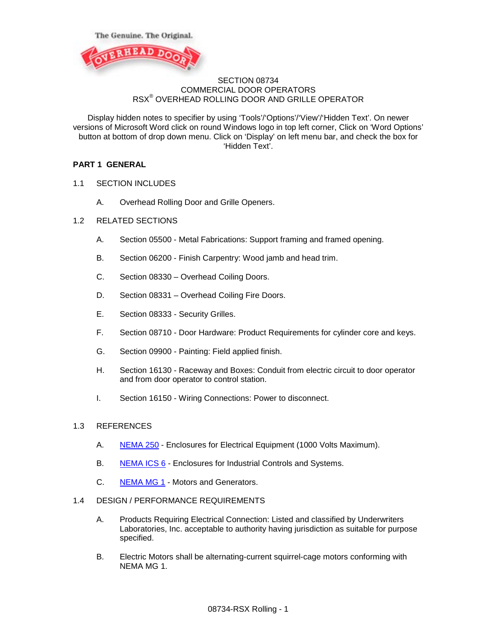



## SECTION 08734 COMMERCIAL DOOR OPERATORS RSX® OVERHEAD ROLLING DOOR AND GRILLE OPERATOR

Display hidden notes to specifier by using 'Tools'/'Options'/'View'/'Hidden Text'. On newer versions of Microsoft Word click on round Windows logo in top left corner, Click on 'Word Options' button at bottom of drop down menu. Click on 'Display' on left menu bar, and check the box for 'Hidden Text'.

## **PART 1 GENERAL**

- 1.1 SECTION INCLUDES
	- A. Overhead Rolling Door and Grille Openers.
- 1.2 RELATED SECTIONS
	- A. Section 05500 Metal Fabrications: Support framing and framed opening.
	- B. Section 06200 Finish Carpentry: Wood jamb and head trim.
	- C. Section 08330 Overhead Coiling Doors.
	- D. Section 08331 Overhead Coiling Fire Doors.
	- E. Section 08333 Security Grilles.
	- F. Section 08710 Door Hardware: Product Requirements for cylinder core and keys.
	- G. Section 09900 Painting: Field applied finish.
	- H. Section 16130 Raceway and Boxes: Conduit from electric circuit to door operator and from door operator to control station.
	- I. Section 16150 Wiring Connections: Power to disconnect.

### 1.3 REFERENCES

- A. [NEMA 250](http://www.astm.org/Standards/B221.htm) Enclosures for Electrical Equipment (1000 Volts Maximum).
- B. [NEMA ICS 6](http://www.nema.org/stds/ics6.cfm) Enclosures for Industrial Controls and Systems.
- C. [NEMA MG 1](http://www.nema.org/stds/MG1.cfm) Motors and Generators.

## 1.4 DESIGN / PERFORMANCE REQUIREMENTS

- A. Products Requiring Electrical Connection: Listed and classified by Underwriters Laboratories, Inc. acceptable to authority having jurisdiction as suitable for purpose specified.
- B. Electric Motors shall be alternating-current squirrel-cage motors conforming with NEMA MG 1.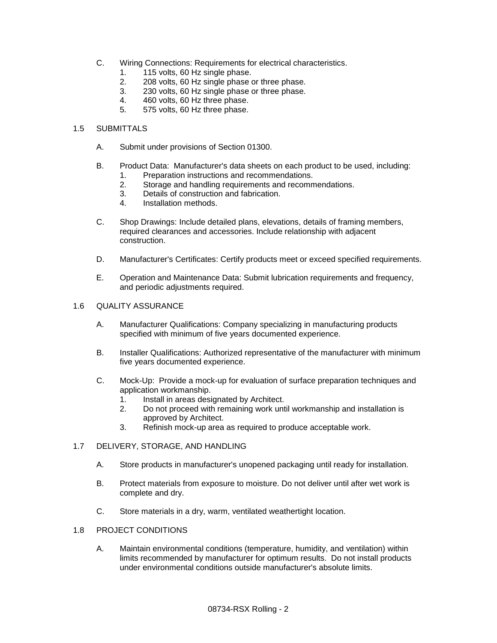- C. Wiring Connections: Requirements for electrical characteristics.
	- 1. 115 volts, 60 Hz single phase.
	- 2. 208 volts, 60 Hz single phase or three phase.<br>3. 230 volts, 60 Hz single phase or three phase.
	- 3. 230 volts, 60 Hz single phase or three phase.
	- 4. 460 volts, 60 Hz three phase.
	- 5. 575 volts, 60 Hz three phase.

### 1.5 SUBMITTALS

- A. Submit under provisions of Section 01300.
- B. Product Data: Manufacturer's data sheets on each product to be used, including: 1. Preparation instructions and recommendations.
	- 2. Storage and handling requirements and recommendations.
	- 3. Details of construction and fabrication.
	- 4. Installation methods.
- C. Shop Drawings: Include detailed plans, elevations, details of framing members, required clearances and accessories. Include relationship with adjacent construction.
- D. Manufacturer's Certificates: Certify products meet or exceed specified requirements.
- E. Operation and Maintenance Data: Submit lubrication requirements and frequency, and periodic adjustments required.

### 1.6 QUALITY ASSURANCE

- A. Manufacturer Qualifications: Company specializing in manufacturing products specified with minimum of five years documented experience.
- B. Installer Qualifications: Authorized representative of the manufacturer with minimum five years documented experience.
- C. Mock-Up: Provide a mock-up for evaluation of surface preparation techniques and application workmanship.
	- 1. Install in areas designated by Architect.
	- 2. Do not proceed with remaining work until workmanship and installation is approved by Architect.
	- 3. Refinish mock-up area as required to produce acceptable work.

### 1.7 DELIVERY, STORAGE, AND HANDLING

- A. Store products in manufacturer's unopened packaging until ready for installation.
- B. Protect materials from exposure to moisture. Do not deliver until after wet work is complete and dry.
- C. Store materials in a dry, warm, ventilated weathertight location.

### 1.8 PROJECT CONDITIONS

A. Maintain environmental conditions (temperature, humidity, and ventilation) within limits recommended by manufacturer for optimum results. Do not install products under environmental conditions outside manufacturer's absolute limits.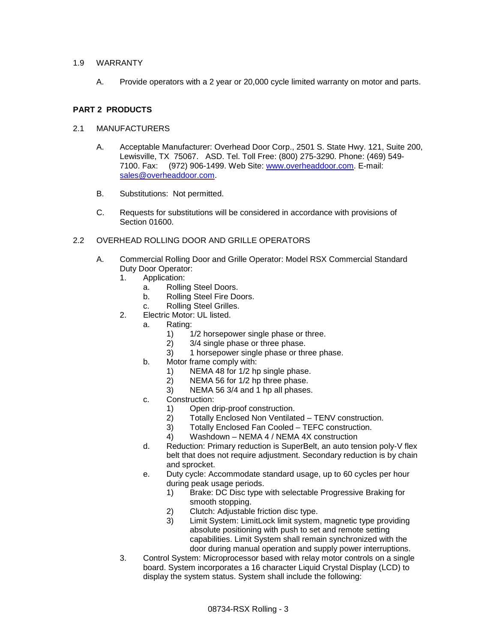## 1.9 WARRANTY

A. Provide operators with a 2 year or 20,000 cycle limited warranty on motor and parts.

# **PART 2 PRODUCTS**

## 2.1 MANUFACTURERS

- A. Acceptable Manufacturer: Overhead Door Corp., 2501 S. State Hwy. 121, Suite 200, Lewisville, TX 75067. ASD. Tel. Toll Free: (800) 275-3290. Phone: (469) 549- 7100. Fax: (972) 906-1499. Web Site: [www.overheaddoor.com.](http://www.overheaddoor.com/) E-mail: [sales@overheaddoor.com.](mailto:sales@overheaddoor.com)
- B. Substitutions: Not permitted.
- C. Requests for substitutions will be considered in accordance with provisions of Section 01600.
- 2.2 OVERHEAD ROLLING DOOR AND GRILLE OPERATORS
	- A. Commercial Rolling Door and Grille Operator: Model RSX Commercial Standard Duty Door Operator:
		- 1. Application:
			- a. Rolling Steel Doors.
			- b. Rolling Steel Fire Doors.
			- c. Rolling Steel Grilles.
		- 2. Electric Motor: UL listed.
			- a. Rating:
				- 1)  $1/2$  horsepower single phase or three.<br>2)  $3/4$  single phase or three phase.
				- 2) 3/4 single phase or three phase.
				- 3) 1 horsepower single phase or three phase.
			- b. Motor frame comply with:
				- 1) NEMA 48 for 1/2 hp single phase.<br>2) NEMA 56 for 1/2 hp three phase.
				- NEMA 56 for 1/2 hp three phase.
				- 3) NEMA 56 3/4 and 1 hp all phases.
			- c. Construction:
				- 1) Open drip-proof construction.
				- 2) Totally Enclosed Non Ventilated TENV construction.
				- 3) Totally Enclosed Fan Cooled TEFC construction.
				- 4) Washdown NEMA 4 / NEMA 4X construction
			- d. Reduction: Primary reduction is SuperBelt, an auto tension poly-V flex belt that does not require adjustment. Secondary reduction is by chain and sprocket.
			- e. Duty cycle: Accommodate standard usage, up to 60 cycles per hour during peak usage periods.
				- 1) Brake: DC Disc type with selectable Progressive Braking for smooth stopping.
				- 2) Clutch: Adjustable friction disc type.
				- 3) Limit System: LimitLock limit system, magnetic type providing absolute positioning with push to set and remote setting capabilities. Limit System shall remain synchronized with the door during manual operation and supply power interruptions.
		- 3. Control System: Microprocessor based with relay motor controls on a single board. System incorporates a 16 character Liquid Crystal Display (LCD) to display the system status. System shall include the following: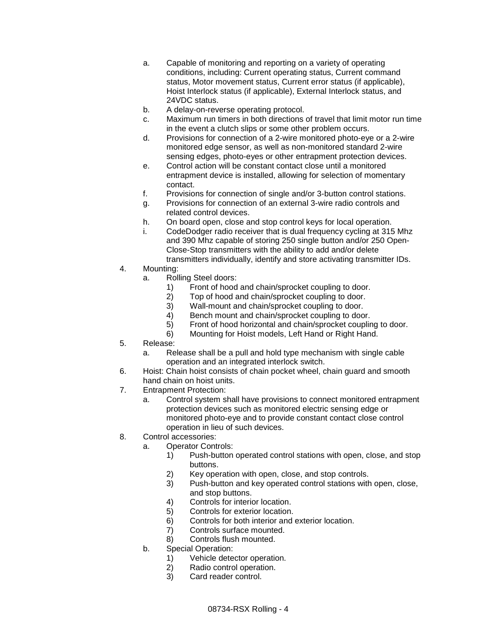- a. Capable of monitoring and reporting on a variety of operating conditions, including: Current operating status, Current command status, Motor movement status, Current error status (if applicable), Hoist Interlock status (if applicable), External Interlock status, and 24VDC status.
- b. A delay-on-reverse operating protocol.
- c. Maximum run timers in both directions of travel that limit motor run time in the event a clutch slips or some other problem occurs.
- d. Provisions for connection of a 2-wire monitored photo-eye or a 2-wire monitored edge sensor, as well as non-monitored standard 2-wire sensing edges, photo-eyes or other entrapment protection devices.
- e. Control action will be constant contact close until a monitored entrapment device is installed, allowing for selection of momentary contact.
- f. Provisions for connection of single and/or 3-button control stations.
- g. Provisions for connection of an external 3-wire radio controls and related control devices.
- h. On board open, close and stop control keys for local operation.
- i. CodeDodger radio receiver that is dual frequency cycling at 315 Mhz and 390 Mhz capable of storing 250 single button and/or 250 Open-Close-Stop transmitters with the ability to add and/or delete transmitters individually, identify and store activating transmitter IDs.
- 4. Mounting:
	- a. Rolling Steel doors:
		- 1) Front of hood and chain/sprocket coupling to door.
		- 2) Top of hood and chain/sprocket coupling to door.<br>3) Wall-mount and chain/sprocket coupling to door.
		- Wall-mount and chain/sprocket coupling to door.
		- 4) Bench mount and chain/sprocket coupling to door.
		- 5) Front of hood horizontal and chain/sprocket coupling to door.
		- 6) Mounting for Hoist models, Left Hand or Right Hand.
- 5. Release:
	- a. Release shall be a pull and hold type mechanism with single cable operation and an integrated interlock switch.
- 6. Hoist: Chain hoist consists of chain pocket wheel, chain guard and smooth hand chain on hoist units.
- 7. Entrapment Protection:
	- a. Control system shall have provisions to connect monitored entrapment protection devices such as monitored electric sensing edge or monitored photo-eye and to provide constant contact close control operation in lieu of such devices.
- 8. Control accessories:
	- a. Operator Controls:
		- 1) Push-button operated control stations with open, close, and stop buttons.
		- 2) Key operation with open, close, and stop controls.<br>3) Push-button and key operated control stations with
		- Push-button and key operated control stations with open, close, and stop buttons.
		- 4) Controls for interior location.
		- 5) Controls for exterior location.
		- 6) Controls for both interior and exterior location.
		- 7) Controls surface mounted.
		- 8) Controls flush mounted.
	- b. Special Operation:
		- 1) Vehicle detector operation.
		- 2) Radio control operation.
		- 3) Card reader control.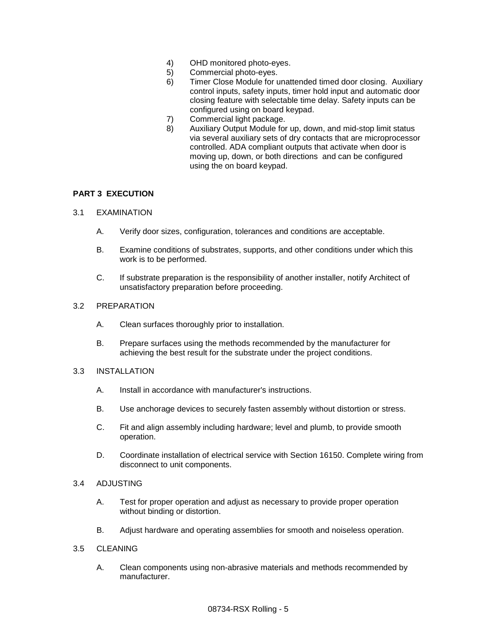- 4) OHD monitored photo-eyes.
- 5) Commercial photo-eyes.
- 6) Timer Close Module for unattended timed door closing. Auxiliary control inputs, safety inputs, timer hold input and automatic door closing feature with selectable time delay. Safety inputs can be configured using on board keypad.
- 7) Commercial light package.
- 8) Auxiliary Output Module for up, down, and mid-stop limit status via several auxiliary sets of dry contacts that are microprocessor controlled. ADA compliant outputs that activate when door is moving up, down, or both directions and can be configured using the on board keypad.

## **PART 3 EXECUTION**

### 3.1 EXAMINATION

- A. Verify door sizes, configuration, tolerances and conditions are acceptable.
- B. Examine conditions of substrates, supports, and other conditions under which this work is to be performed.
- C. If substrate preparation is the responsibility of another installer, notify Architect of unsatisfactory preparation before proceeding.

#### 3.2 PREPARATION

- A. Clean surfaces thoroughly prior to installation.
- B. Prepare surfaces using the methods recommended by the manufacturer for achieving the best result for the substrate under the project conditions.

### 3.3 INSTALLATION

- A. Install in accordance with manufacturer's instructions.
- B. Use anchorage devices to securely fasten assembly without distortion or stress.
- C. Fit and align assembly including hardware; level and plumb, to provide smooth operation.
- D. Coordinate installation of electrical service with Section 16150. Complete wiring from disconnect to unit components.
- 3.4 ADJUSTING
	- A. Test for proper operation and adjust as necessary to provide proper operation without binding or distortion.
	- B. Adjust hardware and operating assemblies for smooth and noiseless operation.
- 3.5 CLEANING
	- A. Clean components using non-abrasive materials and methods recommended by manufacturer.